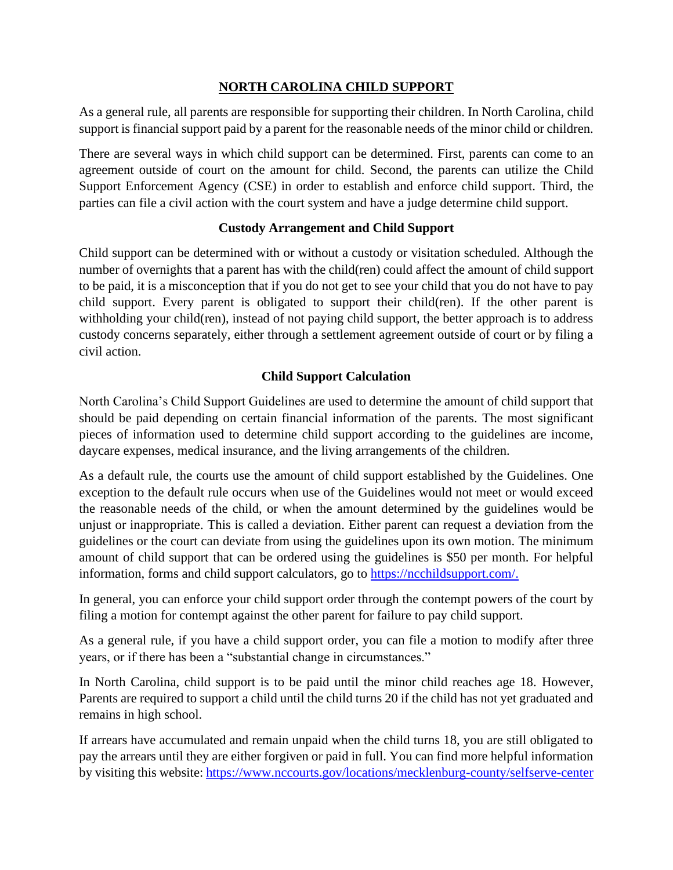# **NORTH CAROLINA CHILD SUPPORT**

As a general rule, all parents are responsible for supporting their children. In North Carolina, child support is financial support paid by a parent for the reasonable needs of the minor child or children.

There are several ways in which child support can be determined. First, parents can come to an agreement outside of court on the amount for child. Second, the parents can utilize the Child Support Enforcement Agency (CSE) in order to establish and enforce child support. Third, the parties can file a civil action with the court system and have a judge determine child support.

# **Custody Arrangement and Child Support**

Child support can be determined with or without a custody or visitation scheduled. Although the number of overnights that a parent has with the child(ren) could affect the amount of child support to be paid, it is a misconception that if you do not get to see your child that you do not have to pay child support. Every parent is obligated to support their child(ren). If the other parent is withholding your child(ren), instead of not paying child support, the better approach is to address custody concerns separately, either through a settlement agreement outside of court or by filing a civil action.

# **Child Support Calculation**

North Carolina's Child Support Guidelines are used to determine the amount of child support that should be paid depending on certain financial information of the parents. The most significant pieces of information used to determine child support according to the guidelines are income, daycare expenses, medical insurance, and the living arrangements of the children.

As a default rule, the courts use the amount of child support established by the Guidelines. One exception to the default rule occurs when use of the Guidelines would not meet or would exceed the reasonable needs of the child, or when the amount determined by the guidelines would be unjust or inappropriate. This is called a deviation. Either parent can request a deviation from the guidelines or the court can deviate from using the guidelines upon its own motion. The minimum amount of child support that can be ordered using the guidelines is \$50 per month. For helpful information, forms and child support calculators, go to [https://ncchildsupport.com/.](https://ncchildsupport.com/)

In general, you can enforce your child support order through the contempt powers of the court by filing a motion for contempt against the other parent for failure to pay child support.

As a general rule, if you have a child support order, you can file a motion to modify after three years, or if there has been a "substantial change in circumstances."

In North Carolina, child support is to be paid until the minor child reaches age 18. However, Parents are required to support a child until the child turns 20 if the child has not yet graduated and remains in high school.

If arrears have accumulated and remain unpaid when the child turns 18, you are still obligated to pay the arrears until they are either forgiven or paid in full. You can find more helpful information by visiting this website: <https://www.nccourts.gov/locations/mecklenburg-county/selfserve-center>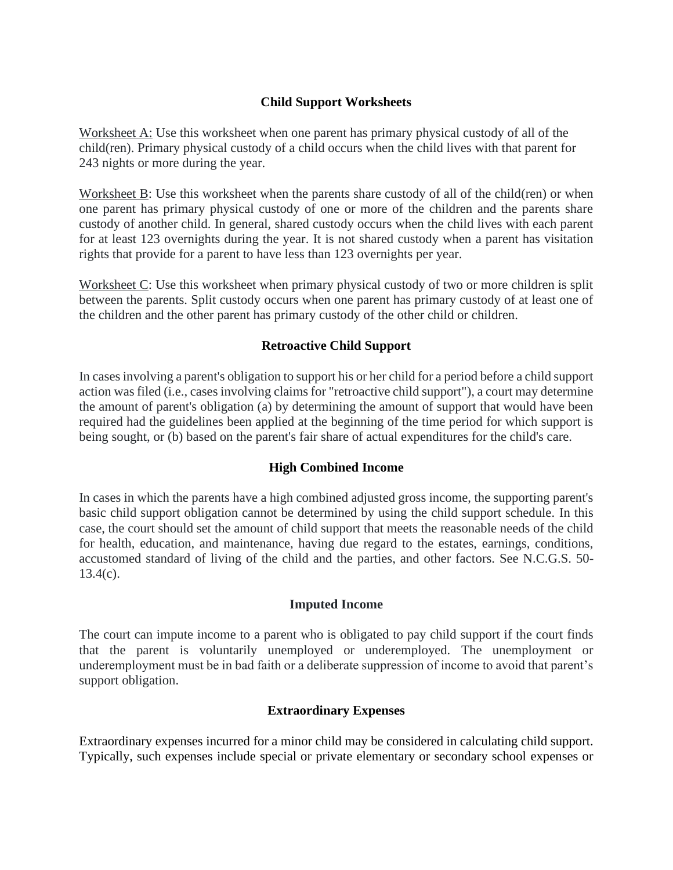### **Child Support Worksheets**

Worksheet A: Use this worksheet when one parent has primary physical custody of all of the child(ren). Primary physical custody of a child occurs when the child lives with that parent for 243 nights or more during the year.

Worksheet B: Use this worksheet when the parents share custody of all of the child(ren) or when one parent has primary physical custody of one or more of the children and the parents share custody of another child. In general, shared custody occurs when the child lives with each parent for at least 123 overnights during the year. It is not shared custody when a parent has visitation rights that provide for a parent to have less than 123 overnights per year.

Worksheet C: Use this worksheet when primary physical custody of two or more children is split between the parents. Split custody occurs when one parent has primary custody of at least one of the children and the other parent has primary custody of the other child or children.

### **Retroactive Child Support**

In cases involving a parent's obligation to support his or her child for a period before a child support action was filed (i.e., cases involving claims for "retroactive child support"), a court may determine the amount of parent's obligation (a) by determining the amount of support that would have been required had the guidelines been applied at the beginning of the time period for which support is being sought, or (b) based on the parent's fair share of actual expenditures for the child's care.

#### **High Combined Income**

In cases in which the parents have a high combined adjusted gross income, the supporting parent's basic child support obligation cannot be determined by using the child support schedule. In this case, the court should set the amount of child support that meets the reasonable needs of the child for health, education, and maintenance, having due regard to the estates, earnings, conditions, accustomed standard of living of the child and the parties, and other factors. See N.C.G.S. 50-  $13.4(c)$ .

#### **Imputed Income**

The court can impute income to a parent who is obligated to pay child support if the court finds that the parent is voluntarily unemployed or underemployed. The unemployment or underemployment must be in bad faith or a deliberate suppression of income to avoid that parent's support obligation.

# **Extraordinary Expenses**

Extraordinary expenses incurred for a minor child may be considered in calculating child support. Typically, such expenses include special or private elementary or secondary school expenses or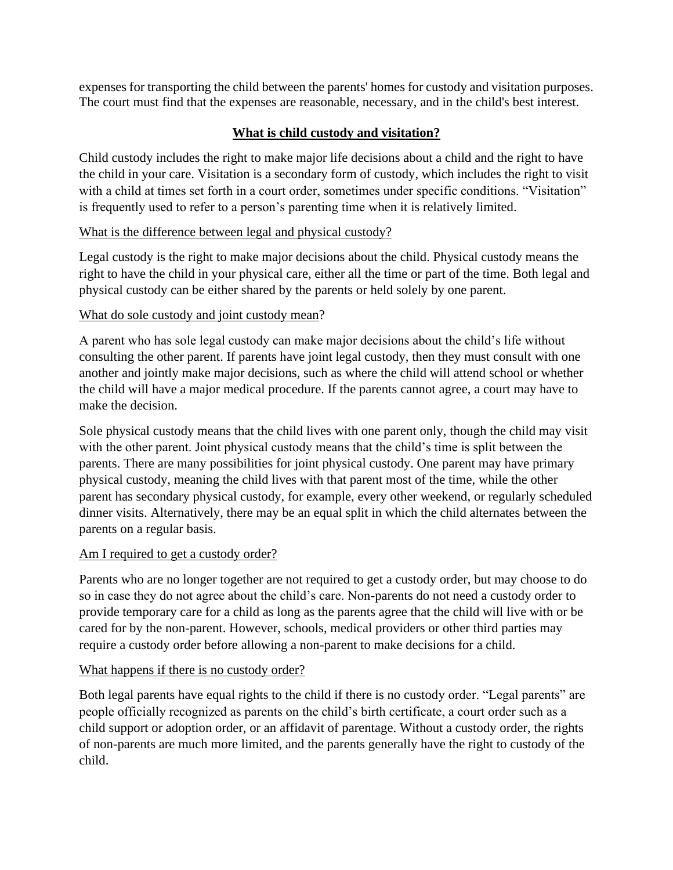expenses for transporting the child between the parents' homes for custody and visitation purposes. The court must find that the expenses are reasonable, necessary, and in the child's best interest.

# **What is child custody and visitation?**

Child custody includes the right to make major life decisions about a child and the right to have the child in your care. Visitation is a secondary form of custody, which includes the right to visit with a child at times set forth in a court order, sometimes under specific conditions. "Visitation" is frequently used to refer to a person's parenting time when it is relatively limited.

# What is the difference between legal and physical custody?

Legal custody is the right to make major decisions about the child. Physical custody means the right to have the child in your physical care, either all the time or part of the time. Both legal and physical custody can be either shared by the parents or held solely by one parent.

# What do sole custody and joint custody mean?

A parent who has sole legal custody can make major decisions about the child's life without consulting the other parent. If parents have joint legal custody, then they must consult with one another and jointly make major decisions, such as where the child will attend school or whether the child will have a major medical procedure. If the parents cannot agree, a court may have to make the decision.

Sole physical custody means that the child lives with one parent only, though the child may visit with the other parent. Joint physical custody means that the child's time is split between the parents. There are many possibilities for joint physical custody. One parent may have primary physical custody, meaning the child lives with that parent most of the time, while the other parent has secondary physical custody, for example, every other weekend, or regularly scheduled dinner visits. Alternatively, there may be an equal split in which the child alternates between the parents on a regular basis.

# Am I required to get a custody order?

Parents who are no longer together are not required to get a custody order, but may choose to do so in case they do not agree about the child's care. Non-parents do not need a custody order to provide temporary care for a child as long as the parents agree that the child will live with or be cared for by the non-parent. However, schools, medical providers or other third parties may require a custody order before allowing a non-parent to make decisions for a child.

# What happens if there is no custody order?

Both legal parents have equal rights to the child if there is no custody order. "Legal parents" are people officially recognized as parents on the child's birth certificate, a court order such as a child support or adoption order, or an affidavit of parentage. Without a custody order, the rights of non-parents are much more limited, and the parents generally have the right to custody of the child.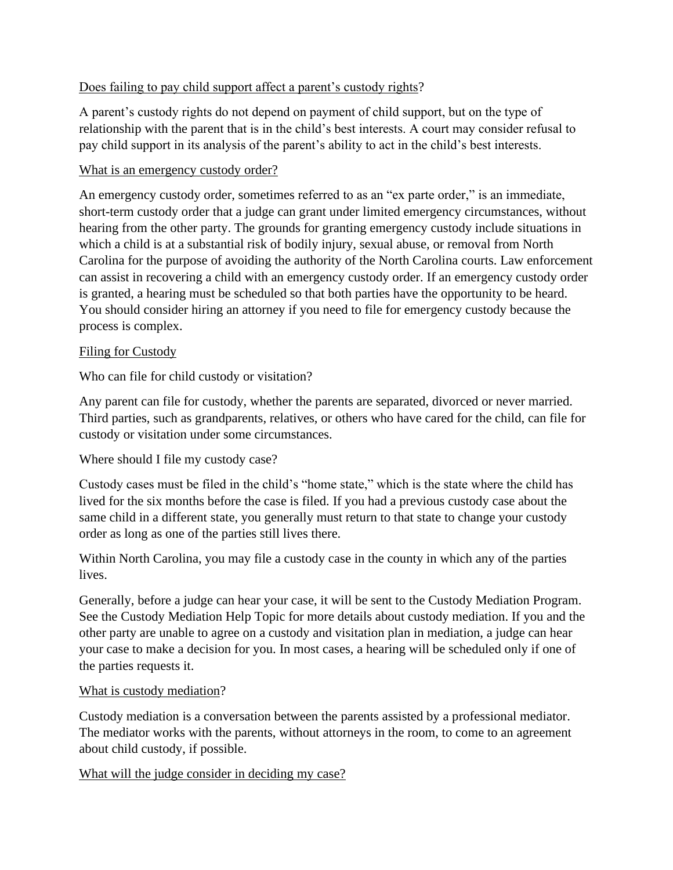# Does failing to pay child support affect a parent's custody rights?

A parent's custody rights do not depend on payment of child support, but on the type of relationship with the parent that is in the child's best interests. A court may consider refusal to pay child support in its analysis of the parent's ability to act in the child's best interests.

### What is an emergency custody order?

An emergency custody order, sometimes referred to as an "ex parte order," is an immediate, short-term custody order that a judge can grant under limited emergency circumstances, without hearing from the other party. The grounds for granting emergency custody include situations in which a child is at a substantial risk of bodily injury, sexual abuse, or removal from North Carolina for the purpose of avoiding the authority of the North Carolina courts. Law enforcement can assist in recovering a child with an emergency custody order. If an emergency custody order is granted, a hearing must be scheduled so that both parties have the opportunity to be heard. You should consider hiring an attorney if you need to file for emergency custody because the process is complex.

### Filing for Custody

Who can file for child custody or visitation?

Any parent can file for custody, whether the parents are separated, divorced or never married. Third parties, such as grandparents, relatives, or others who have cared for the child, can file for custody or visitation under some circumstances.

# Where should I file my custody case?

Custody cases must be filed in the child's "home state," which is the state where the child has lived for the six months before the case is filed. If you had a previous custody case about the same child in a different state, you generally must return to that state to change your custody order as long as one of the parties still lives there.

Within North Carolina, you may file a custody case in the county in which any of the parties lives.

Generally, before a judge can hear your case, it will be sent to the Custody Mediation Program. See the Custody Mediation Help Topic for more details about custody mediation. If you and the other party are unable to agree on a custody and visitation plan in mediation, a judge can hear your case to make a decision for you. In most cases, a hearing will be scheduled only if one of the parties requests it.

#### What is custody mediation?

Custody mediation is a conversation between the parents assisted by a professional mediator. The mediator works with the parents, without attorneys in the room, to come to an agreement about child custody, if possible.

#### What will the judge consider in deciding my case?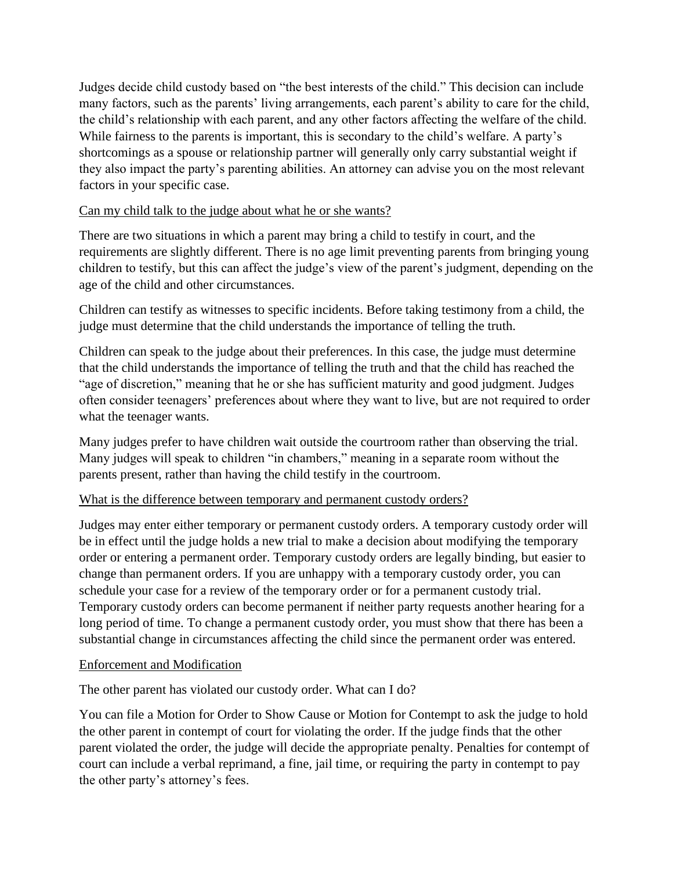Judges decide child custody based on "the best interests of the child." This decision can include many factors, such as the parents' living arrangements, each parent's ability to care for the child, the child's relationship with each parent, and any other factors affecting the welfare of the child. While fairness to the parents is important, this is secondary to the child's welfare. A party's shortcomings as a spouse or relationship partner will generally only carry substantial weight if they also impact the party's parenting abilities. An attorney can advise you on the most relevant factors in your specific case.

# Can my child talk to the judge about what he or she wants?

There are two situations in which a parent may bring a child to testify in court, and the requirements are slightly different. There is no age limit preventing parents from bringing young children to testify, but this can affect the judge's view of the parent's judgment, depending on the age of the child and other circumstances.

Children can testify as witnesses to specific incidents. Before taking testimony from a child, the judge must determine that the child understands the importance of telling the truth.

Children can speak to the judge about their preferences. In this case, the judge must determine that the child understands the importance of telling the truth and that the child has reached the "age of discretion," meaning that he or she has sufficient maturity and good judgment. Judges often consider teenagers' preferences about where they want to live, but are not required to order what the teenager wants.

Many judges prefer to have children wait outside the courtroom rather than observing the trial. Many judges will speak to children "in chambers," meaning in a separate room without the parents present, rather than having the child testify in the courtroom.

# What is the difference between temporary and permanent custody orders?

Judges may enter either temporary or permanent custody orders. A temporary custody order will be in effect until the judge holds a new trial to make a decision about modifying the temporary order or entering a permanent order. Temporary custody orders are legally binding, but easier to change than permanent orders. If you are unhappy with a temporary custody order, you can schedule your case for a review of the temporary order or for a permanent custody trial. Temporary custody orders can become permanent if neither party requests another hearing for a long period of time. To change a permanent custody order, you must show that there has been a substantial change in circumstances affecting the child since the permanent order was entered.

# Enforcement and Modification

The other parent has violated our custody order. What can I do?

You can file a Motion for Order to Show Cause or Motion for Contempt to ask the judge to hold the other parent in contempt of court for violating the order. If the judge finds that the other parent violated the order, the judge will decide the appropriate penalty. Penalties for contempt of court can include a verbal reprimand, a fine, jail time, or requiring the party in contempt to pay the other party's attorney's fees.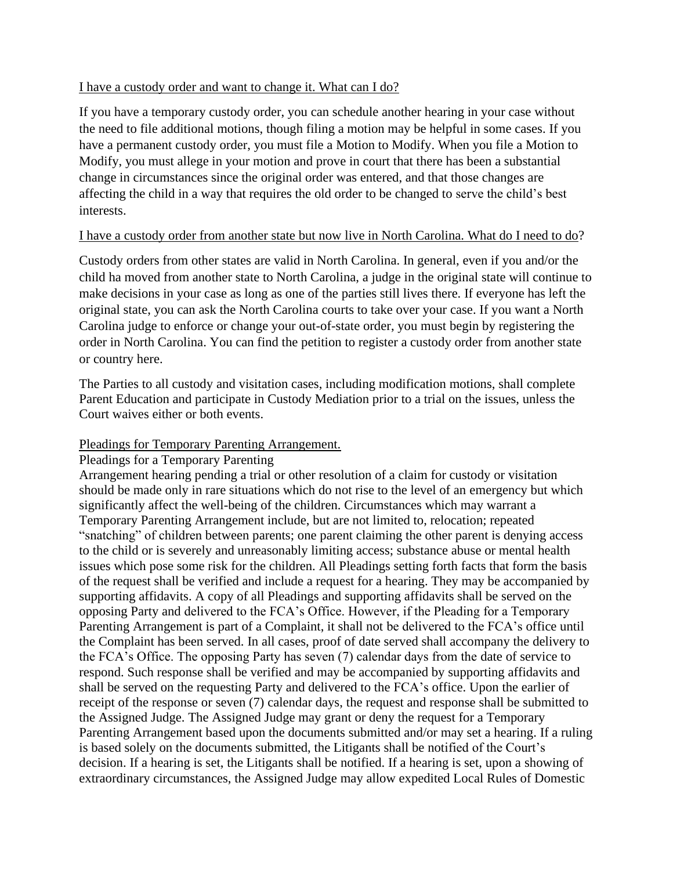### I have a custody order and want to change it. What can I do?

If you have a temporary custody order, you can schedule another hearing in your case without the need to file additional motions, though filing a motion may be helpful in some cases. If you have a permanent custody order, you must file a Motion to Modify. When you file a Motion to Modify, you must allege in your motion and prove in court that there has been a substantial change in circumstances since the original order was entered, and that those changes are affecting the child in a way that requires the old order to be changed to serve the child's best interests.

### I have a custody order from another state but now live in North Carolina. What do I need to do?

Custody orders from other states are valid in North Carolina. In general, even if you and/or the child ha moved from another state to North Carolina, a judge in the original state will continue to make decisions in your case as long as one of the parties still lives there. If everyone has left the original state, you can ask the North Carolina courts to take over your case. If you want a North Carolina judge to enforce or change your out-of-state order, you must begin by registering the order in North Carolina. You can find the petition to register a custody order from another state or country here.

The Parties to all custody and visitation cases, including modification motions, shall complete Parent Education and participate in Custody Mediation prior to a trial on the issues, unless the Court waives either or both events.

# Pleadings for Temporary Parenting Arrangement.

#### Pleadings for a Temporary Parenting

Arrangement hearing pending a trial or other resolution of a claim for custody or visitation should be made only in rare situations which do not rise to the level of an emergency but which significantly affect the well-being of the children. Circumstances which may warrant a Temporary Parenting Arrangement include, but are not limited to, relocation; repeated "snatching" of children between parents; one parent claiming the other parent is denying access to the child or is severely and unreasonably limiting access; substance abuse or mental health issues which pose some risk for the children. All Pleadings setting forth facts that form the basis of the request shall be verified and include a request for a hearing. They may be accompanied by supporting affidavits. A copy of all Pleadings and supporting affidavits shall be served on the opposing Party and delivered to the FCA's Office. However, if the Pleading for a Temporary Parenting Arrangement is part of a Complaint, it shall not be delivered to the FCA's office until the Complaint has been served. In all cases, proof of date served shall accompany the delivery to the FCA's Office. The opposing Party has seven (7) calendar days from the date of service to respond. Such response shall be verified and may be accompanied by supporting affidavits and shall be served on the requesting Party and delivered to the FCA's office. Upon the earlier of receipt of the response or seven (7) calendar days, the request and response shall be submitted to the Assigned Judge. The Assigned Judge may grant or deny the request for a Temporary Parenting Arrangement based upon the documents submitted and/or may set a hearing. If a ruling is based solely on the documents submitted, the Litigants shall be notified of the Court's decision. If a hearing is set, the Litigants shall be notified. If a hearing is set, upon a showing of extraordinary circumstances, the Assigned Judge may allow expedited Local Rules of Domestic